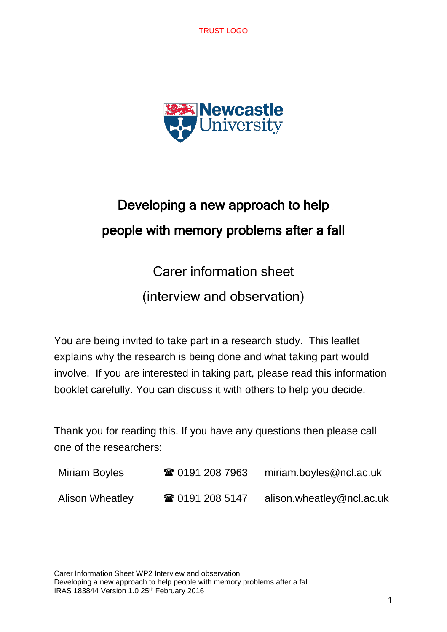TRUST LOGO



# Developing a new approach to help people with memory problems after a fall

Carer information sheet

(interview and observation)

You are being invited to take part in a research study. This leaflet explains why the research is being done and what taking part would involve. If you are interested in taking part, please read this information booklet carefully. You can discuss it with others to help you decide.

Thank you for reading this. If you have any questions then please call one of the researchers:

| Miriam Boyles          | ☎ 0191 208 7963 | miriam.boyles@ncl.ac.uk   |
|------------------------|-----------------|---------------------------|
| <b>Alison Wheatley</b> | ☎ 0191 208 5147 | alison.wheatley@ncl.ac.uk |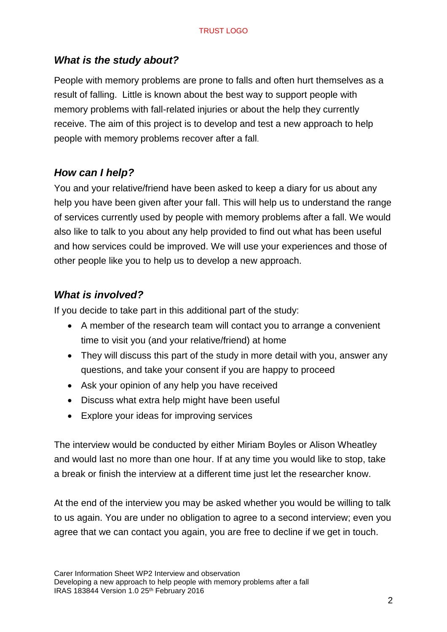# *What is the study about?*

People with memory problems are prone to falls and often hurt themselves as a result of falling. Little is known about the best way to support people with memory problems with fall-related injuries or about the help they currently receive. The aim of this project is to develop and test a new approach to help people with memory problems recover after a fall.

# *How can I help?*

You and your relative/friend have been asked to keep a diary for us about any help you have been given after your fall. This will help us to understand the range of services currently used by people with memory problems after a fall. We would also like to talk to you about any help provided to find out what has been useful and how services could be improved. We will use your experiences and those of other people like you to help us to develop a new approach.

# *What is involved?*

If you decide to take part in this additional part of the study:

- A member of the research team will contact you to arrange a convenient time to visit you (and your relative/friend) at home
- They will discuss this part of the study in more detail with you, answer any questions, and take your consent if you are happy to proceed
- Ask your opinion of any help you have received
- Discuss what extra help might have been useful
- Explore your ideas for improving services

The interview would be conducted by either Miriam Boyles or Alison Wheatley and would last no more than one hour. If at any time you would like to stop, take a break or finish the interview at a different time just let the researcher know.

At the end of the interview you may be asked whether you would be willing to talk to us again. You are under no obligation to agree to a second interview; even you agree that we can contact you again, you are free to decline if we get in touch.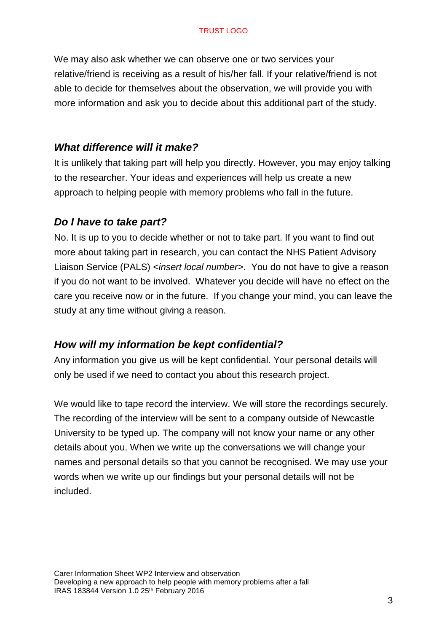#### TRUST LOGO

We may also ask whether we can observe one or two services your relative/friend is receiving as a result of his/her fall. If your relative/friend is not able to decide for themselves about the observation, we will provide you with more information and ask you to decide about this additional part of the study.

#### *What difference will it make?*

It is unlikely that taking part will help you directly. However, you may enjoy talking to the researcher. Your ideas and experiences will help us create a new approach to helping people with memory problems who fall in the future.

#### *Do I have to take part?*

No. It is up to you to decide whether or not to take part. If you want to find out more about taking part in research, you can contact the NHS Patient Advisory Liaison Service (PALS) <*insert local number*>. You do not have to give a reason if you do not want to be involved. Whatever you decide will have no effect on the care you receive now or in the future. If you change your mind, you can leave the study at any time without giving a reason.

#### *How will my information be kept confidential?*

Any information you give us will be kept confidential. Your personal details will only be used if we need to contact you about this research project.

We would like to tape record the interview. We will store the recordings securely. The recording of the interview will be sent to a company outside of Newcastle University to be typed up. The company will not know your name or any other details about you. When we write up the conversations we will change your names and personal details so that you cannot be recognised. We may use your words when we write up our findings but your personal details will not be included.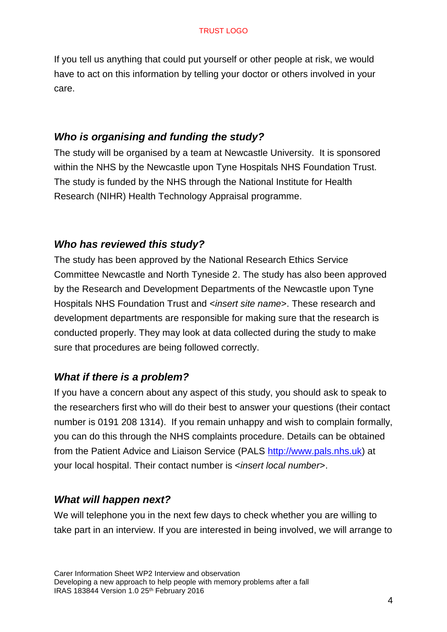If you tell us anything that could put yourself or other people at risk, we would have to act on this information by telling your doctor or others involved in your care.

### *Who is organising and funding the study?*

The study will be organised by a team at Newcastle University. It is sponsored within the NHS by the Newcastle upon Tyne Hospitals NHS Foundation Trust. The study is funded by the NHS through the National Institute for Health Research (NIHR) Health Technology Appraisal programme.

## *Who has reviewed this study?*

The study has been approved by the National Research Ethics Service Committee Newcastle and North Tyneside 2. The study has also been approved by the Research and Development Departments of the Newcastle upon Tyne Hospitals NHS Foundation Trust and <*insert site name*>. These research and development departments are responsible for making sure that the research is conducted properly. They may look at data collected during the study to make sure that procedures are being followed correctly.

# *What if there is a problem?*

If you have a concern about any aspect of this study, you should ask to speak to the researchers first who will do their best to answer your questions (their contact number is 0191 208 1314). If you remain unhappy and wish to complain formally, you can do this through the NHS complaints procedure. Details can be obtained from the Patient Advice and Liaison Service (PALS [http://www.pals.nhs.uk\)](http://www.pals.nhs.uk/) at your local hospital. Their contact number is <*insert local number*>.

## *What will happen next?*

We will telephone you in the next few days to check whether you are willing to take part in an interview. If you are interested in being involved, we will arrange to